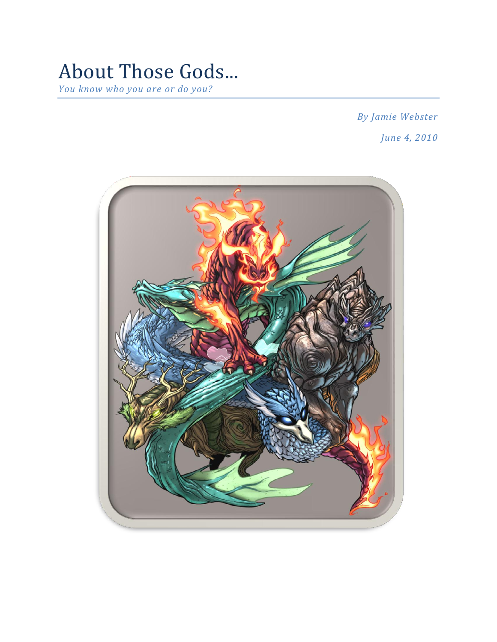## About Those Gods... *You know who you are or do you?*

*By Jamie Webster June 4, 2010*

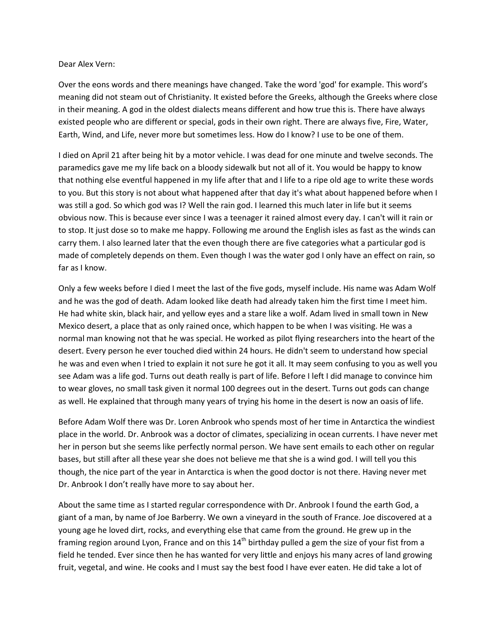## Dear Alex Vern:

Over the eons words and there meanings have changed. Take the word 'god' for example. This word's meaning did not steam out of Christianity. It existed before the Greeks, although the Greeks where close in their meaning. A god in the oldest dialects means different and how true this is. There have always existed people who are different or special, gods in their own right. There are always five, Fire, Water, Earth, Wind, and Life, never more but sometimes less. How do I know? I use to be one of them.

I died on April 21 after being hit by a motor vehicle. I was dead for one minute and twelve seconds. The paramedics gave me my life back on a bloody sidewalk but not all of it. You would be happy to know that nothing else eventful happened in my life after that and I life to a ripe old age to write these words to you. But this story is not about what happened after that day it's what about happened before when I was still a god. So which god was I? Well the rain god. I learned this much later in life but it seems obvious now. This is because ever since I was a teenager it rained almost every day. I can't will it rain or to stop. It just dose so to make me happy. Following me around the English isles as fast as the winds can carry them. I also learned later that the even though there are five categories what a particular god is made of completely depends on them. Even though I was the water god I only have an effect on rain, so far as I know.

Only a few weeks before I died I meet the last of the five gods, myself include. His name was Adam Wolf and he was the god of death. Adam looked like death had already taken him the first time I meet him. He had white skin, black hair, and yellow eyes and a stare like a wolf. Adam lived in small town in New Mexico desert, a place that as only rained once, which happen to be when I was visiting. He was a normal man knowing not that he was special. He worked as pilot flying researchers into the heart of the desert. Every person he ever touched died within 24 hours. He didn't seem to understand how special he was and even when I tried to explain it not sure he got it all. It may seem confusing to you as well you see Adam was a life god. Turns out death really is part of life. Before I left I did manage to convince him to wear gloves, no small task given it normal 100 degrees out in the desert. Turns out gods can change as well. He explained that through many years of trying his home in the desert is now an oasis of life.

Before Adam Wolf there was Dr. Loren Anbrook who spends most of her time in Antarctica the windiest place in the world. Dr. Anbrook was a doctor of climates, specializing in ocean currents. I have never met her in person but she seems like perfectly normal person. We have sent emails to each other on regular bases, but still after all these year she does not believe me that she is a wind god. I will tell you this though, the nice part of the year in Antarctica is when the good doctor is not there. Having never met Dr. Anbrook I don't really have more to say about her.

About the same time as I started regular correspondence with Dr. Anbrook I found the earth God, a giant of a man, by name of Joe Barberry. We own a vineyard in the south of France. Joe discovered at a young age he loved dirt, rocks, and everything else that came from the ground. He grew up in the framing region around Lyon, France and on this  $14<sup>th</sup>$  birthday pulled a gem the size of your fist from a field he tended. Ever since then he has wanted for very little and enjoys his many acres of land growing fruit, vegetal, and wine. He cooks and I must say the best food I have ever eaten. He did take a lot of